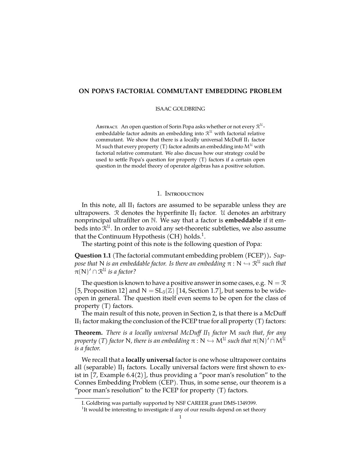# **ON POPA'S FACTORIAL COMMUTANT EMBEDDING PROBLEM**

#### ISAAC GOLDBRING

Авѕткаст. An open question of Sorin Popa asks whether or not every  $\mathcal{R}^{\mathfrak{U}}$ embeddable factor admits an embedding into  $\mathcal{R}^{\mathcal{U}}$  with factorial relative commutant. We show that there is a locally universal McDuff  $II<sub>1</sub>$  factor M such that every property (T) factor admits an embedding into  $M^{\mathcal{U}}$  with factorial relative commutant. We also discuss how our strategy could be used to settle Popa's question for property (T) factors if a certain open question in the model theory of operator algebras has a positive solution.

# 1. Introduction

In this note, all  $II_1$  factors are assumed to be separable unless they are ultrapowers. R denotes the hyperfinite  $II_1$  factor. U denotes an arbitrary nonprincipal ultrafilter on N. We say that a factor is **embeddable** if it embeds into  $\mathcal{R}^{\mathfrak{U}}.$  In order to avoid any set-theoretic subtleties, we also assume that the Continuum Hypothesis (CH) holds. $^1$  $^1$ .

The starting point of this note is the following question of Popa:

**Question 1.1** (The factorial commutant embedding problem (FCEP))**.** *Suppose that*  $N$  *is an embeddable factor. Is there an embedding*  $\pi : N \hookrightarrow \mathbb{R}^{\mathfrak{U}}$  *such that*  $\pi(N)' \cap \mathcal{R}^{\mathcal{U}}$  is a factor?

The question is known to have a positive answer in some cases, e.g.  $N = \mathcal{R}$ [\[5,](#page-5-0) Proposition 12] and  $N = SL_3(\mathbb{Z})$  [\[14,](#page-6-0) Section 1.7], but seems to be wideopen in general. The question itself even seems to be open for the class of property (T) factors.

The main result of this note, proven in Section 2, is that there is a McDuff  $II<sub>1</sub>$  factor making the conclusion of the FCEP true for all property (T) factors:

**Theorem.** *There is a locally universal McDuff II*<sup>1</sup> *factor* M *such that, for any property (T) factor N, there is an embedding*  $\pi$  :  $N \hookrightarrow M^{\mathfrak{U}}$  *such that*  $\pi$ (N)'  $\cap M^{\mathfrak{U}}$ <br>*is a factor is a factor.*

We recall that a **locally universal** factor is one whose ultrapower contains all (separable)  $II_1$  factors. Locally universal factors were first shown to exist in  $[7, \text{Example 6.4}(2)]$  $[7, \text{Example 6.4}(2)]$ , thus providing a "poor man's resolution" to the Connes Embedding Problem (CEP). Thus, in some sense, our theorem is a "poor man's resolution" to the FCEP for property  $(T)$  factors.

I. Goldbring was partially supported by NSF CAREER grant DMS-1349399.

<span id="page-0-0"></span><sup>&</sup>lt;sup>1</sup>It would be interesting to investigate if any of our results depend on set theory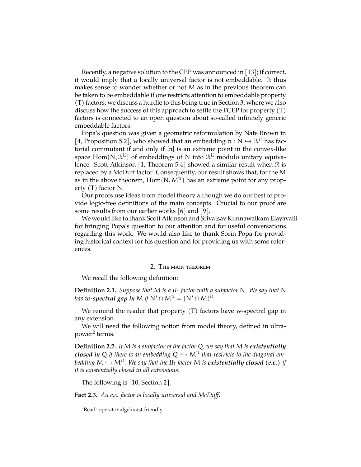Recently, a negative solution to the CEP was announced in [\[13\]](#page-6-2); if correct, it would imply that a locally universal factor is not embeddable. It thus makes sense to wonder whether or not M as in the previous theorem can be taken to be embeddable if one restricts attention to embeddable property (T) factors; we discuss a hurdle to this being true in Section 3, where we also discuss how the success of this approach to settle the FCEP for property (T) factors is connected to an open question about so-called infinitely generic embeddable factors.

Popa's question was given a geometric reformulation by Nate Brown in [\[4,](#page-5-1) Proposition 5.2], who showed that an embedding  $\pi : N \hookrightarrow \mathbb{R}^{\mathcal{U}}$  has factorial accountant if and only if  $\lceil - \rceil$  is an outcome accipit in the secure like torial commutant if and only if  $[\pi]$  is an extreme point in the convex-like space Hom $(N, \mathcal{R}^{U})$  of embeddings of N into  $\mathcal{R}^{U}$  modulo unitary equivalence. Scott Atkinson [\[1,](#page-5-2) Theorem 5.4] showed a similar result when R is replaced by a McDuff factor. Consequently, our result shows that, for the M as in the above theorem, Hom $(N, M^U)$  has an extreme point for any property (T) factor N.

Our proofs use ideas from model theory although we do our best to provide logic-free definitions of the main concepts. Crucial to our proof are some results from our earlier works [\[6\]](#page-5-3) and [\[9\]](#page-6-3).

We would like to thank Scott Atkinson and Srivatsav Kunnawalkam Elayavalli for bringing Popa's question to our attention and for useful conversations regarding this work. We would also like to thank Sorin Popa for providing historical context for his question and for providing us with some references.

### 2. The main theorem

We recall the following definition:

**Definition 2.1.** *Suppose that* M *is a II*<sup>1</sup> *factor with a subfactor* N*. We say that* N has *w-spectral gap in* M if  $N' \cap M^{\mathcal{U}} = (N' \cap M)^{\mathcal{U}}$ .

We remind the reader that property (T) factors have w-spectral gap in any extension.

We will need the following notion from model theory, defined in ultra-power<sup>[2](#page-1-0)</sup> terms.

**Definition 2.2.** *If* M *is a subfactor of the factor* Q*, we say that* M *is existentially closed in* Q *if there is an embedding*  $Q \hookrightarrow M^U$  *that restricts to the diagonal embedding*  $M \hookrightarrow M^U$ . We say that the II<sub>1</sub> factor M is **existentially closed (e.c.)** if *it is existentially closed in all extensions.*

The following is [\[10,](#page-6-4) Section 2].

**Fact 2.3.** *An e.c. factor is locally universal and McDuff.*

<span id="page-1-0"></span><sup>&</sup>lt;sup>2</sup>Read: operator algebraist-friendly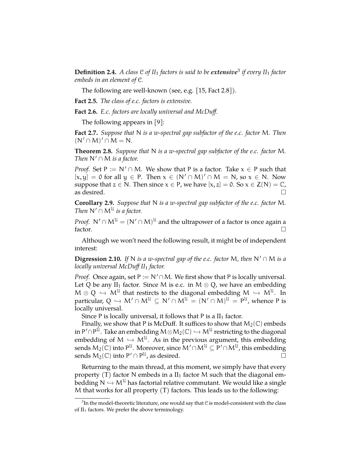**Definition 2.4.** *A class* C *of II*<sup>1</sup> *factors is said to be extensive*[3](#page-2-0) *if every II*1 *factor embeds in an element of* C*.*

The following are well-known (see, e.g. [\[15,](#page-6-5) Fact 2.8]).

**Fact 2.5.** *The class of e.c. factors is extensive.*

**Fact 2.6.** *E.c. factors are locally universal and McDuff.*

The following appears in [\[9\]](#page-6-3):

<span id="page-2-2"></span>**Fact 2.7.** *Suppose that* N *is a w-spectral gap subfactor of the e.c. factor* M*. Then*  $(N' \cap M)' \cap M = N.$ 

**Theorem 2.8.** *Suppose that* N *is a w-spectral gap subfactor of the e.c. factor* M*. Then*  $N' \cap M$  *is a factor.* 

*Proof.* Set P :=  $N' \cap M$ . We show that P is a factor. Take  $x \in P$  such that  $[x, y] = 0$  for all  $y \in P$ . Then  $x \in (N' \cap M)' \cap M = N$ , so  $x \in N$ . Now suppose that  $z \in N$ . Then since  $x \in P$ , we have  $[x, z] = 0$ . So  $x \in Z(N) = \mathbb{C}$ , as desired.  $\Box$ 

<span id="page-2-1"></span>**Corollary 2.9.** *Suppose that* N *is a w-spectral gap subfactor of the e.c. factor* M*. Then*  $N' \cap M^U$  *is a factor.* 

*Proof.*  $N' \cap M^{\mathfrak{U}} = (N' \cap M)^{\mathfrak{U}}$  and the ultrapower of a factor is once again a  $\Gamma$  factor.

Although we won't need the following result, it might be of independent interest:

**Digression 2.10.** *If* N *is a w-spectral gap of the e.c. factor* M, *then*  $N' \cap M$  *is a locally universal McDuff II*1 *factor.*

*Proof.* Once again, set  $P := N' \cap M$ . We first show that P is locally universal. Let Q be any II<sub>1</sub> factor. Since M is e.c. in M  $\otimes$  Q, we have an embedding  $M \otimes Q \hookrightarrow M^{\mathcal{U}}$  that restircts to the diagonal embedding  $M \hookrightarrow M^{\mathcal{U}}$ . In particular,  $Q \hookrightarrow M' \cap M^{\mathcal{U}} \subseteq N' \cap M^{\mathcal{U}} = (N' \cap M)^{\mathcal{U}} = P^{\mathcal{U}}$ , whence P is locally universal.

Since P is locally universal, it follows that P is a  $II_1$  factor.

Finally, we show that P is McDuff. It suffices to show that  $M_2(\mathbb{C})$  embeds in P'∩P<sup>U</sup>. Take an embedding  $M \otimes M_2(\mathbb{C}) \hookrightarrow M^{\mathcal{U}}$  restricting to the diagonal embedding of  $M \hookrightarrow M^{\mathfrak{U}}$ . As in the previous argument, this embedding sends  $M_2(\mathbb{C})$  into P<sup>U</sup>. Moreover, since  $M' \cap M^{\mathcal{U}} \subseteq P' \cap M^{\mathcal{U}}$ , this embedding sends  $M_2(\mathbb{C})$  into P'  $\cap$  P<sup>U</sup>, as desired.

Returning to the main thread, at this moment, we simply have that every property (T) factor N embeds in a  $II_1$  factor M such that the diagonal embedding  $N \hookrightarrow M^{\mathcal{U}}$  has factorial relative commutant. We would like a single M that works for all property (T) factors. This leads us to the following:

<span id="page-2-0"></span> $^3$ In the model-theoretic literature, one would say that C is model-consistent with the class of  $II_1$  factors. We prefer the above terminology.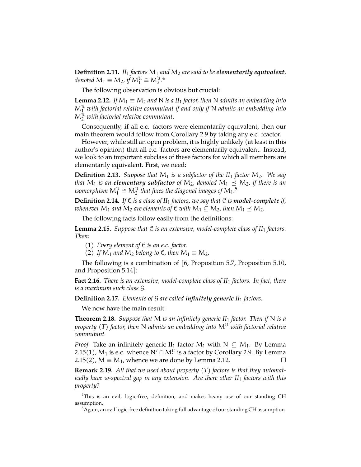**Definition 2.11.**  $II_1$  *factors*  $M_1$  *and*  $M_2$  *are said to be elementarily equivalent,*  $denoted M_1 \equiv M_2$ , if  $M_1^{\mathfrak{U}} \cong M_2^{\mathfrak{U},4}$  $M_1^{\mathfrak{U}} \cong M_2^{\mathfrak{U},4}$  $M_1^{\mathfrak{U}} \cong M_2^{\mathfrak{U},4}$ 

The following observation is obvious but crucial:

<span id="page-3-3"></span>**Lemma 2.12.** *If*  $M_1 \equiv M_2$  *and* N *is a II*<sub>1</sub> *factor, then* N *admits an embedding into* M<sup>U</sup> <sup>1</sup> *with factorial relative commutant if and only if* N *admits an embedding into*  $M_2^{\mathfrak{U}}$  with factorial relative commutant.

Consequently, **if** all e.c. factors were elementarily equivalent, then our main theorem would follow from Corollary [2.9](#page-2-1) by taking any e.c. fcactor.

However, while still an open problem, it is highly unlikely (at least in this author's opinion) that all e.c. factors are elementarily equivalent. Instead, we look to an important subclass of these factors for which all members are elementarily equivalent. First, we need:

**Definition 2.13.** *Suppose that*  $M_1$  *is a subfactor of the II<sub>1</sub> factor*  $M_2$ *. We say that*  $M_1$  *is an elementary subfactor of*  $M_2$ *, denoted*  $M_1 \preceq M_2$ *, if there is an isomorphism*  $M_1^{\mathfrak{U}} \cong M_2^{\mathfrak{U}}$  that fixes the diagonal images of  $M_1$ .<sup>[5](#page-3-1)</sup>

**Definition 2.14.** *If* C *is a class of II*<sup>1</sup> *factors, we say that* C *is model-complete if, whenever*  $M_1$  *and*  $M_2$  *are elements of*  $C$  *with*  $M_1 \subseteq M_2$ *, then*  $M_1 \preceq M_2$ *.* 

The following facts follow easily from the definitions:

<span id="page-3-2"></span>**Lemma 2.15.** *Suppose that* C *is an extensive, model-complete class of II*<sup>1</sup> *factors. Then:*

(1) *Every element of* C *is an e.c. factor.*

(2) If  $M_1$  and  $M_2$  belong to  $C$ , then  $M_1 \equiv M_2$ .

The following is a combination of [\[6,](#page-5-3) Proposition 5.7, Proposition 5.10, and Proposition 5.14]:

**Fact 2.16.** *There is an extensive, model-complete class of II*<sup>1</sup> *factors. In fact, there is a maximum such class* G*.*

**Definition 2.17.** *Elements of* G *are called infinitely generic II*<sup>1</sup> *factors.*

We now have the main result:

**Theorem 2.18.** *Suppose that* M *is an infinitely generic II*<sup>1</sup> *factor. Then if* N *is a property (T) factor, then* N *admits an embedding into* M<sup>U</sup> *with factorial relative commutant.*

*Proof.* Take an infinitely generic II<sub>1</sub> factor  $M_1$  with  $N \subseteq M_1$ . By Lemma [2.15\(](#page-3-2)1),  $M_1$  is e.c. whence  $N' \cap M_1^{\mathfrak{U}}$  is a factor by Corollary [2.9.](#page-2-1) By Lemma [2.15\(](#page-3-2)2),  $M \equiv M_1$ , whence we are done by Lemma [2.12.](#page-3-3)

**Remark 2.19.** *All that we used about property (T) factors is that they automatically have w-spectral gap in any extension. Are there other II*1 *factors with this property?*

<span id="page-3-0"></span><sup>&</sup>lt;sup>4</sup>This is an evil, logic-free, definition, and makes heavy use of our standing CH assumption.

<span id="page-3-1"></span><sup>&</sup>lt;sup>5</sup> Again, an evil logic-free definition taking full advantage of our standing CH assumption.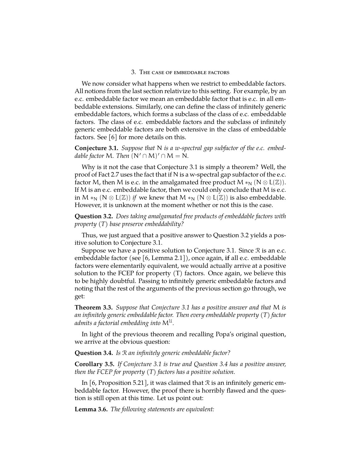### 3. The case of embeddable factors

We now consider what happens when we restrict to embeddable factors. All notions from the last section relativize to this setting. For example, by an e.c. embeddable factor we mean an embeddable factor that is e.c. in all embeddable extensions. Similarly, one can define the class of infinitely generic embeddable factors, which forms a subclass of the class of e.c. embeddable factors. The class of e.c. embeddable factors and the subclass of infinitely generic embeddable factors are both extensive in the class of embeddable factors. See [\[6\]](#page-5-3) for more details on this.

<span id="page-4-0"></span>**Conjecture 3.1.** *Suppose that* N *is a w-spectral gap subfactor of the e.c. embeddable factor* M. Then  $(N' \cap M)' \cap M = N$ .

Why is it not the case that Conjecture [3.1](#page-4-0) is simply a theorem? Well, the proof of Fact [2.7](#page-2-2) uses the fact that if N is a w-spectral gap subfactor of the e.c. factor M, then M is e.c. in the amalgamated free product M  $*_N$  (N  $\otimes$  L( $\mathbb{Z}$ )). If M is an e.c. embeddable factor, then we could only conclude that M is e.c. in M  $*_N$  (N  $\otimes$  L(Z)) *if* we knew that M  $*_N$  (N  $\otimes$  L(Z)) is also embeddable. However, it is unknown at the moment whether or not this is the case.

<span id="page-4-1"></span>**Question 3.2.** *Does taking amalgamated free products of embeddable factors with property (T) base preserve embeddability?*

Thus, we just argued that a positive answer to Question [3.2](#page-4-1) yields a positive solution to Conjecture [3.1.](#page-4-0)

Suppose we have a positive solution to Conjecture [3.1.](#page-4-0) Since R is an e.c. embeddable factor (see [\[6,](#page-5-3) Lemma 2.1]), once again, **if** all e.c. embeddable factors were elementarily equivalent, we would actually arrive at a positive solution to the FCEP for property  $(T)$  factors. Once again, we believe this to be highly doubtful. Passing to infinitely generic embeddable factors and noting that the rest of the arguments of the previous section go through, we get:

**Theorem 3.3.** *Suppose that Conjecture [3.1](#page-4-0) has a positive answer and that* M *is an infinitely generic embeddable factor. Then every embeddable property (T) factor admits a factorial embedding into* MU*.*

In light of the previous theorem and recalling Popa's original question, we arrive at the obvious question:

## <span id="page-4-2"></span>**Question 3.4.** *Is* R *an infinitely generic embeddable factor?*

**Corollary 3.5.** *If Conjecture [3.1](#page-4-0) is true and Question [3.4](#page-4-2) has a positive answer, then the FCEP for property (T) factors has a positive solution.*

In  $[6,$  Proposition 5.21], it was claimed that  $\Re$  is an infinitely generic embeddable factor. However, the proof there is horribly flawed and the question is still open at this time. Let us point out:

**Lemma 3.6.** *The following statements are equivalent:*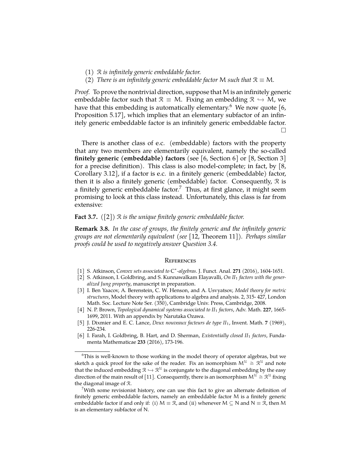- (1) R *is infinitely generic embeddable factor.*
- (2) *There is an infinitely generic embeddable factor* M *such that*  $\mathcal{R} \equiv M$ *.*

*Proof.* To prove the nontrivial direction, suppose that M is an infinitely generic embeddable factor such that  $\mathcal{R} \equiv M$ . Fixing an embedding  $\mathcal{R} \hookrightarrow M$ , we have that this embedding is automatically elementary.<sup>[6](#page-5-4)</sup> We now quote [\[6,](#page-5-3) Proposition 5.17], which implies that an elementary subfactor of an infinitely generic embeddable factor is an infinitely generic embeddable factor.  $\Box$ 

There is another class of e.c. (embeddable) factors with the property that any two members are elementarily equivalent, namely the so-called **finitely generic (embeddable) factors** (see [\[6,](#page-5-3) Section 6] or [\[8,](#page-6-6) Section 3] for a precise definition). This class is also model-complete; in fact, by [\[8,](#page-6-6) Corollary 3.12], if a factor is e.c. in a finitely generic (embeddable) factor, then it is also a finitely generic (embeddable) factor. Consequently, R is a finitely generic embeddable factor.<sup>[7](#page-5-5)</sup> Thus, at first glance, it might seem promising to look at this class instead. Unfortunately, this class is far from extensive:

# **Fact 3.7.** *(*[\[2\]](#page-5-6)*)* R *is the unique finitely generic embeddable factor.*

**Remark 3.8.** *In the case of groups, the finitely generic and the infinitely generic groups are not elementarily equivalent (see* [\[12,](#page-6-7) Theorem 11]*). Perhaps similar proofs could be used to negatively answer Question [3.4.](#page-4-2)*

### **REFERENCES**

- <span id="page-5-2"></span>[1] S. Atkinson, *Convex sets associated to* C ∗ *-algebras*. J. Funct. Anal. **271** (2016), 1604-1651.
- <span id="page-5-6"></span>[2] S. Atkinson, I. Goldbring, and S. Kunnawalkam Elayavalli, *On II*<sup>1</sup> *factors with the generalized Jung property*, manuscript in preparation.
- [3] I. Ben Yaacov, A. Berenstein, C. W. Henson, and A. Usvyatsov, *Model theory for metric structures*, Model theory with applications to algebra and analysis. 2, 315- 427, London Math. Soc. Lecture Note Ser. (350), Cambridge Univ. Press, Cambridge, 2008.
- <span id="page-5-1"></span>[4] N. P. Brown, *Topological dynamical systems associated to II*<sup>1</sup> *factors*, Adv. Math. **227**, 1665- 1699, 2011. With an appendix by Narutaka Ozawa.
- <span id="page-5-0"></span>[5] J. Dixmier and E. C. Lance, *Deux nouveaux facteurs de type II*1, Invent. Math. **7** (1969), 226-234.
- <span id="page-5-3"></span>[6] I. Farah, I. Goldbring, B. Hart, and D. Sherman, *Existentially closed II*<sup>1</sup> *factors*, Fundamenta Mathematicae **233** (2016), 173-196.

<span id="page-5-4"></span><sup>6</sup>This is well-known to those working in the model theory of operator algebras, but we sketch a quick proof for the sake of the reader. Fix an isomorphism  $M^{\mathfrak{U}} \cong \mathcal{R}^{\mathfrak{U}}$  and note that the induced embedding  $\mathcal{R} \hookrightarrow \mathcal{R}^{\mathcal{U}}$  is conjungate to the diagonal embedding by the easy direction of the main result of [\[11\]](#page-6-8). Consequently, there is an isomorphism  $M^{\mathcal{U}} \cong \mathcal{R}^{\mathcal{U}}$  fixing the diagonal image of R.

<span id="page-5-5"></span><sup>7</sup>With some revisionist history, one can use this fact to give an alternate definition of finitely generic embeddable factors, namely an embeddable factor M is a finitely generic embeddable factor if and only if: (i)  $M \equiv \mathcal{R}$ , and (ii) whenever  $M \subseteq N$  and  $N \equiv \mathcal{R}$ , then M is an elementary subfactor of N.